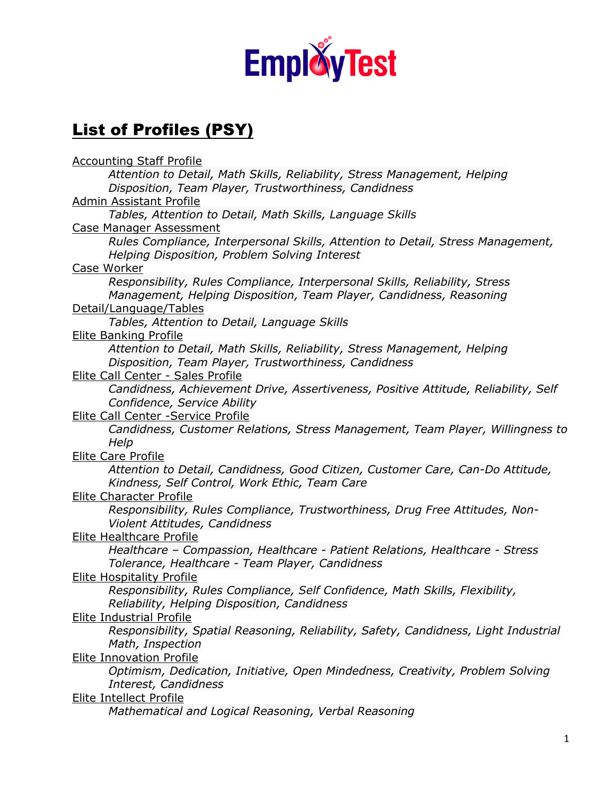

## List of Profiles (PSY)

Accounting Staff Profile *Attention to Detail, Math Skills, Reliability, Stress Management, Helping Disposition, Team Player, Trustworthiness, Candidness*  Admin Assistant Profile *Tables, Attention to Detail, Math Skills, Language Skills*  Case Manager Assessment *Rules Compliance, Interpersonal Skills, Attention to Detail, Stress Management, Helping Disposition, Problem Solving Interest*  Case Worker *Responsibility, Rules Compliance, Interpersonal Skills, Reliability, Stress Management, Helping Disposition, Team Player, Candidness, Reasoning*  Detail/Language/Tables *Tables, Attention to Detail, Language Skills*  Elite Banking Profile *Attention to Detail, Math Skills, Reliability, Stress Management, Helping Disposition, Team Player, Trustworthiness, Candidness*  Elite Call Center - Sales Profile *Candidness, Achievement Drive, Assertiveness, Positive Attitude, Reliability, Self Confidence, Service Ability*  Elite Call Center -Service Profile *Candidness, Customer Relations, Stress Management, Team Player, Willingness to Help*  Elite Care Profile *Attention to Detail, Candidness, Good Citizen, Customer Care, Can-Do Attitude, Kindness, Self Control, Work Ethic, Team Care*  Elite Character Profile *Responsibility, Rules Compliance, Trustworthiness, Drug Free Attitudes, Non-Violent Attitudes, Candidness*  Elite Healthcare Profile *Healthcare – Compassion, Healthcare - Patient Relations, Healthcare - Stress Tolerance, Healthcare - Team Player, Candidness*  Elite Hospitality Profile *Responsibility, Rules Compliance, Self Confidence, Math Skills, Flexibility, Reliability, Helping Disposition, Candidness*  Elite Industrial Profile *Responsibility, Spatial Reasoning, Reliability, Safety, Candidness, Light Industrial Math, Inspection*  Elite Innovation Profile *Optimism, Dedication, Initiative, Open Mindedness, Creativity, Problem Solving Interest, Candidness*  Elite Intellect Profile *Mathematical and Logical Reasoning, Verbal Reasoning*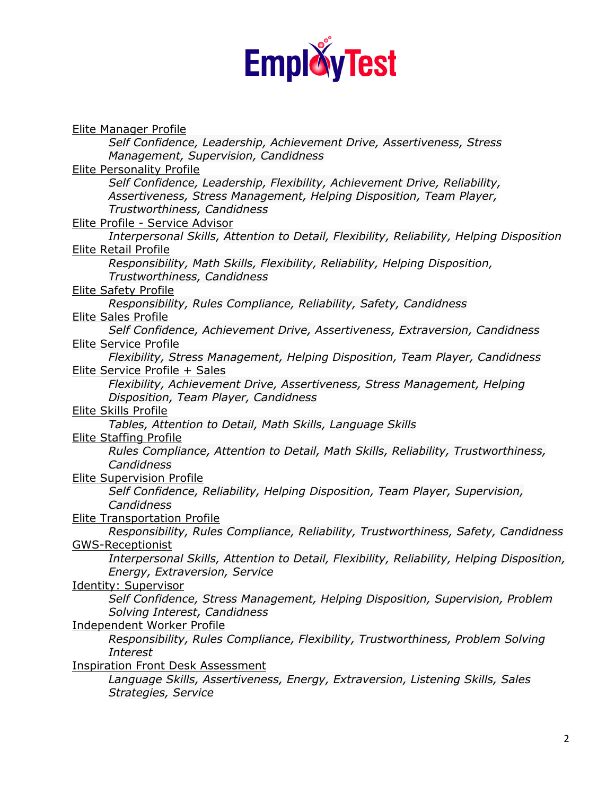

Elite Manager Profile *Self Confidence, Leadership, Achievement Drive, Assertiveness, Stress Management, Supervision, Candidness*  Elite Personality Profile *Self Confidence, Leadership, Flexibility, Achievement Drive, Reliability, Assertiveness, Stress Management, Helping Disposition, Team Player, Trustworthiness, Candidness*  Elite Profile - Service Advisor *Interpersonal Skills, Attention to Detail, Flexibility, Reliability, Helping Disposition*  Elite Retail Profile *Responsibility, Math Skills, Flexibility, Reliability, Helping Disposition, Trustworthiness, Candidness*  **Elite Safety Profile** *Responsibility, Rules Compliance, Reliability, Safety, Candidness*  Elite Sales Profile *Self Confidence, Achievement Drive, Assertiveness, Extraversion, Candidness*  Elite Service Profile *Flexibility, Stress Management, Helping Disposition, Team Player, Candidness*  Elite Service Profile + Sales *Flexibility, Achievement Drive, Assertiveness, Stress Management, Helping Disposition, Team Player, Candidness*  Elite Skills Profile *Tables, Attention to Detail, Math Skills, Language Skills*  Elite Staffing Profile *Rules Compliance, Attention to Detail, Math Skills, Reliability, Trustworthiness, Candidness*  Elite Supervision Profile *Self Confidence, Reliability, Helping Disposition, Team Player, Supervision, Candidness*  Elite Transportation Profile *Responsibility, Rules Compliance, Reliability, Trustworthiness, Safety, Candidness*  GWS-Receptionist *Interpersonal Skills, Attention to Detail, Flexibility, Reliability, Helping Disposition, Energy, Extraversion, Service*  Identity: Supervisor *Self Confidence, Stress Management, Helping Disposition, Supervision, Problem Solving Interest, Candidness*  Independent Worker Profile *Responsibility, Rules Compliance, Flexibility, Trustworthiness, Problem Solving Interest*  Inspiration Front Desk Assessment *Language Skills, Assertiveness, Energy, Extraversion, Listening Skills, Sales Strategies, Service*